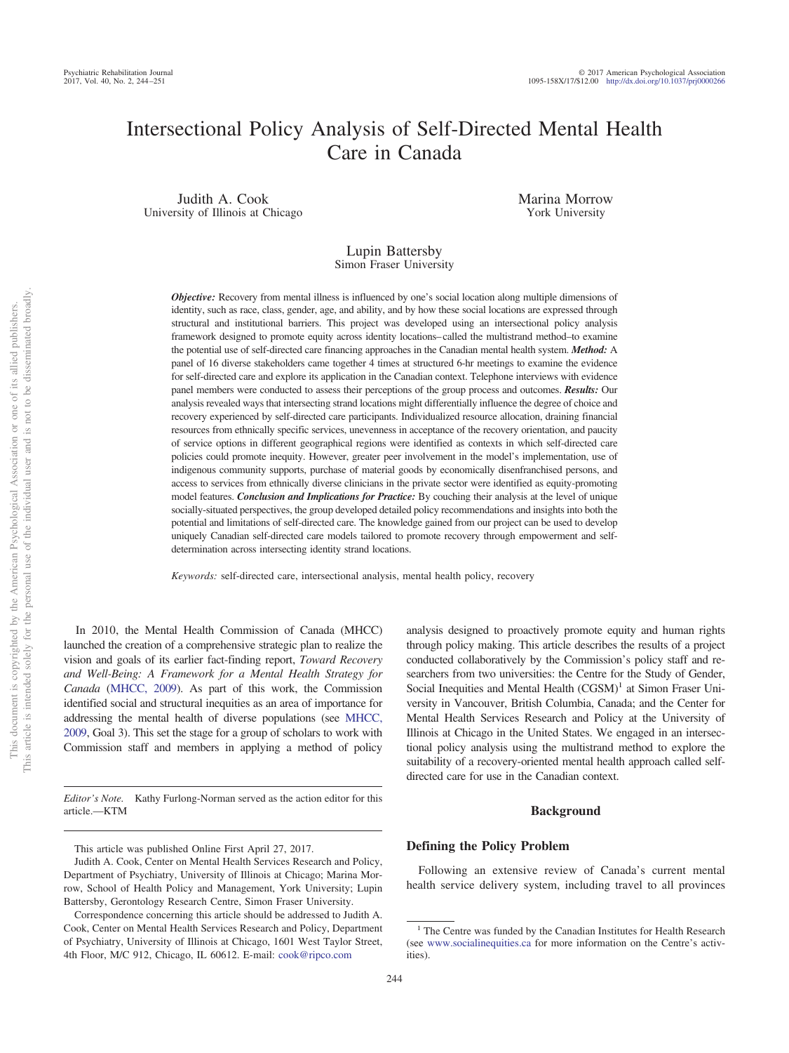# Intersectional Policy Analysis of Self-Directed Mental Health Care in Canada

Judith A. Cook University of Illinois at Chicago Marina Morrow York University

# Lupin Battersby Simon Fraser University

*Objective:* Recovery from mental illness is influenced by one's social location along multiple dimensions of identity, such as race, class, gender, age, and ability, and by how these social locations are expressed through structural and institutional barriers. This project was developed using an intersectional policy analysis framework designed to promote equity across identity locations–called the multistrand method–to examine the potential use of self-directed care financing approaches in the Canadian mental health system. *Method:* A panel of 16 diverse stakeholders came together 4 times at structured 6-hr meetings to examine the evidence for self-directed care and explore its application in the Canadian context. Telephone interviews with evidence panel members were conducted to assess their perceptions of the group process and outcomes. *Results:* Our analysis revealed ways that intersecting strand locations might differentially influence the degree of choice and recovery experienced by self-directed care participants. Individualized resource allocation, draining financial resources from ethnically specific services, unevenness in acceptance of the recovery orientation, and paucity of service options in different geographical regions were identified as contexts in which self-directed care policies could promote inequity. However, greater peer involvement in the model's implementation, use of indigenous community supports, purchase of material goods by economically disenfranchised persons, and access to services from ethnically diverse clinicians in the private sector were identified as equity-promoting model features. *Conclusion and Implications for Practice:* By couching their analysis at the level of unique socially-situated perspectives, the group developed detailed policy recommendations and insights into both the potential and limitations of self-directed care. The knowledge gained from our project can be used to develop uniquely Canadian self-directed care models tailored to promote recovery through empowerment and selfdetermination across intersecting identity strand locations.

*Keywords:* self-directed care, intersectional analysis, mental health policy, recovery

In 2010, the Mental Health Commission of Canada (MHCC) launched the creation of a comprehensive strategic plan to realize the vision and goals of its earlier fact-finding report, *Toward Recovery and Well-Being: A Framework for a Mental Health Strategy for Canada* [\(MHCC, 2009\)](#page-7-0). As part of this work, the Commission identified social and structural inequities as an area of importance for addressing the mental health of diverse populations (see [MHCC,](#page-7-0) [2009,](#page-7-0) Goal 3). This set the stage for a group of scholars to work with Commission staff and members in applying a method of policy

*Editor's Note.* Kathy Furlong-Norman served as the action editor for this article.—KTM

analysis designed to proactively promote equity and human rights through policy making. This article describes the results of a project conducted collaboratively by the Commission's policy staff and researchers from two universities: the Centre for the Study of Gender, Social Inequities and Mental Health  $(CGSM)^1$  at Simon Fraser University in Vancouver, British Columbia, Canada; and the Center for Mental Health Services Research and Policy at the University of Illinois at Chicago in the United States. We engaged in an intersectional policy analysis using the multistrand method to explore the suitability of a recovery-oriented mental health approach called selfdirected care for use in the Canadian context.

# **Background**

#### **Defining the Policy Problem**

Following an extensive review of Canada's current mental health service delivery system, including travel to all provinces

This article was published Online First April 27, 2017.

<sup>&</sup>lt;sup>1</sup> The Centre was funded by the Canadian Institutes for Health Research (see [www.socialinequities.ca](http://www.socialinequities.ca) for more information on the Centre's activities).

Judith A. Cook, Center on Mental Health Services Research and Policy, Department of Psychiatry, University of Illinois at Chicago; Marina Morrow, School of Health Policy and Management, York University; Lupin Battersby, Gerontology Research Centre, Simon Fraser University.

Correspondence concerning this article should be addressed to Judith A. Cook, Center on Mental Health Services Research and Policy, Department of Psychiatry, University of Illinois at Chicago, 1601 West Taylor Street, 4th Floor, M/C 912, Chicago, IL 60612. E-mail: [cook@ripco.com](mailto:cook@ripco.com)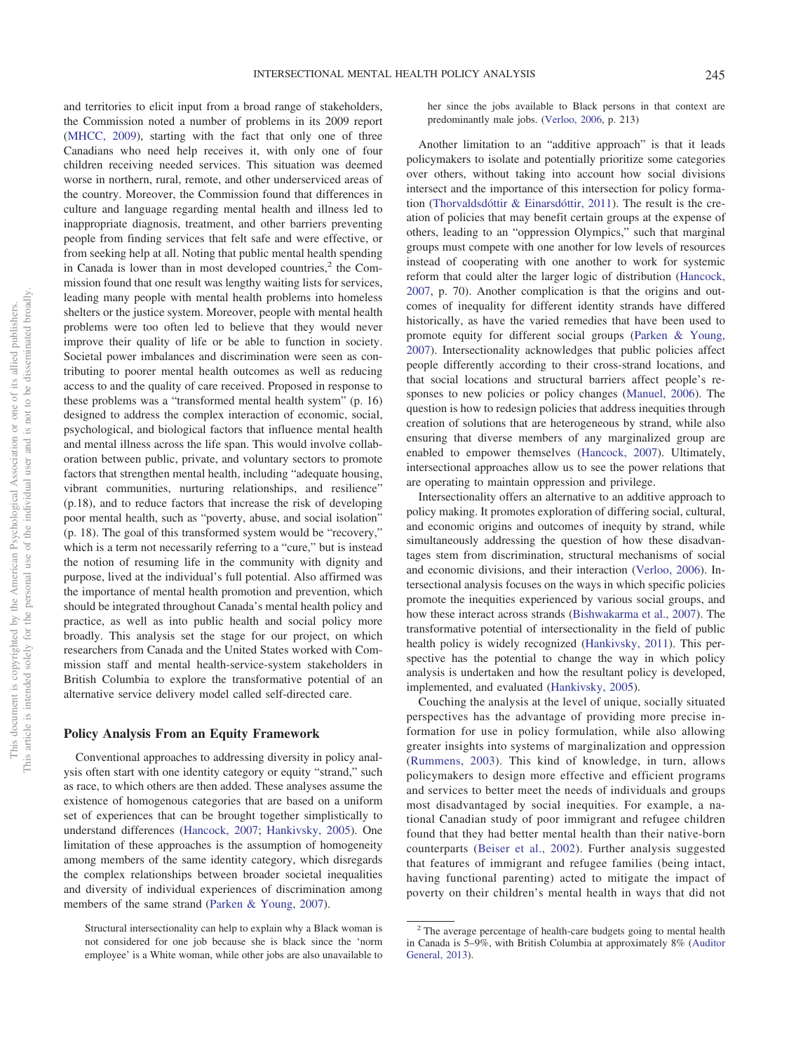and territories to elicit input from a broad range of stakeholders, the Commission noted a number of problems in its 2009 report [\(MHCC, 2009\)](#page-7-0), starting with the fact that only one of three Canadians who need help receives it, with only one of four children receiving needed services. This situation was deemed worse in northern, rural, remote, and other underserviced areas of the country. Moreover, the Commission found that differences in culture and language regarding mental health and illness led to inappropriate diagnosis, treatment, and other barriers preventing people from finding services that felt safe and were effective, or from seeking help at all. Noting that public mental health spending in Canada is lower than in most developed countries, $2$  the Commission found that one result was lengthy waiting lists for services, leading many people with mental health problems into homeless shelters or the justice system. Moreover, people with mental health problems were too often led to believe that they would never improve their quality of life or be able to function in society. Societal power imbalances and discrimination were seen as contributing to poorer mental health outcomes as well as reducing access to and the quality of care received. Proposed in response to these problems was a "transformed mental health system" (p. 16) designed to address the complex interaction of economic, social, psychological, and biological factors that influence mental health and mental illness across the life span. This would involve collaboration between public, private, and voluntary sectors to promote factors that strengthen mental health, including "adequate housing, vibrant communities, nurturing relationships, and resilience" (p.18), and to reduce factors that increase the risk of developing poor mental health, such as "poverty, abuse, and social isolation" (p. 18). The goal of this transformed system would be "recovery," which is a term not necessarily referring to a "cure," but is instead the notion of resuming life in the community with dignity and purpose, lived at the individual's full potential. Also affirmed was the importance of mental health promotion and prevention, which should be integrated throughout Canada's mental health policy and practice, as well as into public health and social policy more broadly. This analysis set the stage for our project, on which researchers from Canada and the United States worked with Commission staff and mental health-service-system stakeholders in British Columbia to explore the transformative potential of an alternative service delivery model called self-directed care.

## **Policy Analysis From an Equity Framework**

Conventional approaches to addressing diversity in policy analysis often start with one identity category or equity "strand," such as race, to which others are then added. These analyses assume the existence of homogenous categories that are based on a uniform set of experiences that can be brought together simplistically to understand differences [\(Hancock, 2007;](#page-7-1) [Hankivsky, 2005\)](#page-7-2). One limitation of these approaches is the assumption of homogeneity among members of the same identity category, which disregards the complex relationships between broader societal inequalities and diversity of individual experiences of discrimination among members of the same strand [\(Parken & Young, 2007\)](#page-7-3).

her since the jobs available to Black persons in that context are predominantly male jobs. [\(Verloo, 2006,](#page-7-4) p. 213)

Another limitation to an "additive approach" is that it leads policymakers to isolate and potentially prioritize some categories over others, without taking into account how social divisions intersect and the importance of this intersection for policy formation [\(Thorvaldsdóttir & Einarsdóttir, 2011\)](#page-7-5). The result is the creation of policies that may benefit certain groups at the expense of others, leading to an "oppression Olympics," such that marginal groups must compete with one another for low levels of resources instead of cooperating with one another to work for systemic reform that could alter the larger logic of distribution [\(Hancock,](#page-7-1) [2007,](#page-7-1) p. 70). Another complication is that the origins and outcomes of inequality for different identity strands have differed historically, as have the varied remedies that have been used to promote equity for different social groups [\(Parken & Young,](#page-7-3) [2007\)](#page-7-3). Intersectionality acknowledges that public policies affect people differently according to their cross-strand locations, and that social locations and structural barriers affect people's responses to new policies or policy changes [\(Manuel, 2006\)](#page-7-6). The question is how to redesign policies that address inequities through creation of solutions that are heterogeneous by strand, while also ensuring that diverse members of any marginalized group are enabled to empower themselves [\(Hancock, 2007\)](#page-7-1). Ultimately, intersectional approaches allow us to see the power relations that are operating to maintain oppression and privilege.

Intersectionality offers an alternative to an additive approach to policy making. It promotes exploration of differing social, cultural, and economic origins and outcomes of inequity by strand, while simultaneously addressing the question of how these disadvantages stem from discrimination, structural mechanisms of social and economic divisions, and their interaction [\(Verloo, 2006\)](#page-7-4). Intersectional analysis focuses on the ways in which specific policies promote the inequities experienced by various social groups, and how these interact across strands [\(Bishwakarma et al., 2007\)](#page-7-7). The transformative potential of intersectionality in the field of public health policy is widely recognized [\(Hankivsky, 2011\)](#page-7-8). This perspective has the potential to change the way in which policy analysis is undertaken and how the resultant policy is developed, implemented, and evaluated [\(Hankivsky, 2005\)](#page-7-2).

Couching the analysis at the level of unique, socially situated perspectives has the advantage of providing more precise information for use in policy formulation, while also allowing greater insights into systems of marginalization and oppression [\(Rummens, 2003\)](#page-7-9). This kind of knowledge, in turn, allows policymakers to design more effective and efficient programs and services to better meet the needs of individuals and groups most disadvantaged by social inequities. For example, a national Canadian study of poor immigrant and refugee children found that they had better mental health than their native-born counterparts [\(Beiser et al., 2002\)](#page-6-0). Further analysis suggested that features of immigrant and refugee families (being intact, having functional parenting) acted to mitigate the impact of poverty on their children's mental health in ways that did not

Structural intersectionality can help to explain why a Black woman is not considered for one job because she is black since the 'norm employee' is a White woman, while other jobs are also unavailable to

<sup>&</sup>lt;sup>2</sup> The average percentage of health-care budgets going to mental health in Canada is 5–9%, with British Columbia at approximately 8% [\(Auditor](#page-6-1) [General, 2013\)](#page-6-1).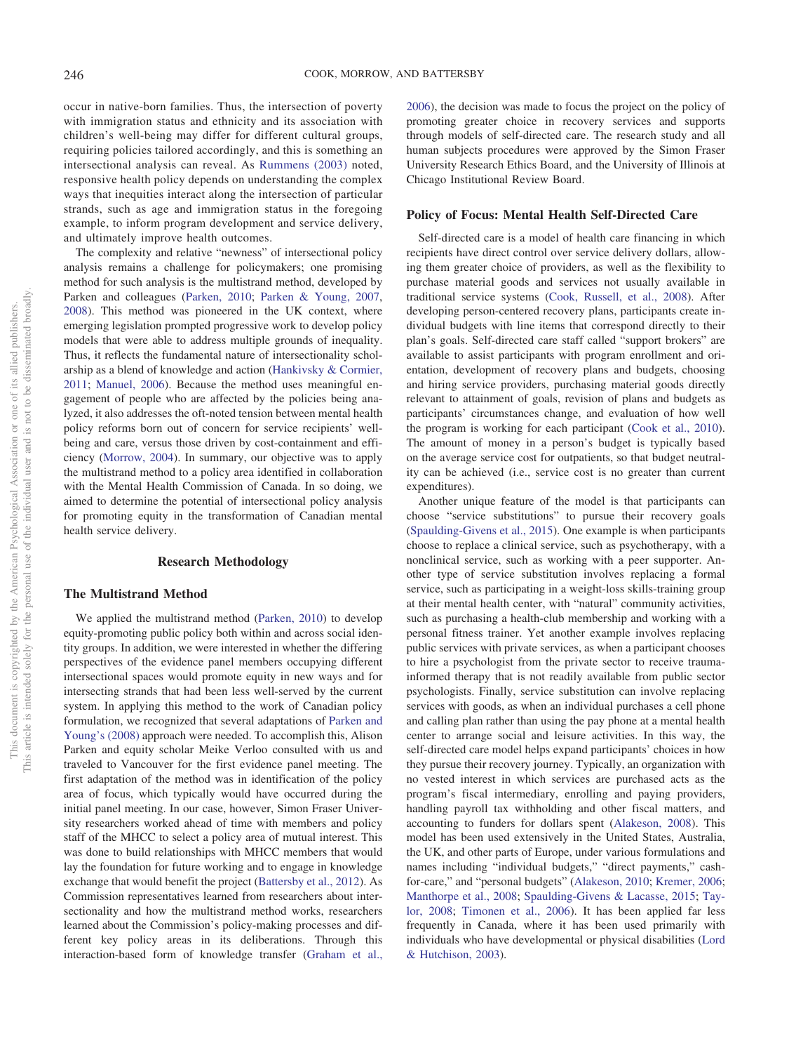occur in native-born families. Thus, the intersection of poverty with immigration status and ethnicity and its association with children's well-being may differ for different cultural groups, requiring policies tailored accordingly, and this is something an intersectional analysis can reveal. As [Rummens \(2003\)](#page-7-9) noted, responsive health policy depends on understanding the complex ways that inequities interact along the intersection of particular strands, such as age and immigration status in the foregoing example, to inform program development and service delivery, and ultimately improve health outcomes.

The complexity and relative "newness" of intersectional policy analysis remains a challenge for policymakers; one promising method for such analysis is the multistrand method, developed by Parken and colleagues [\(Parken, 2010;](#page-7-10) [Parken & Young, 2007,](#page-7-3) [2008\)](#page-7-11). This method was pioneered in the UK context, where emerging legislation prompted progressive work to develop policy models that were able to address multiple grounds of inequality. Thus, it reflects the fundamental nature of intersectionality scholarship as a blend of knowledge and action [\(Hankivsky & Cormier,](#page-7-12) [2011;](#page-7-12) [Manuel, 2006\)](#page-7-6). Because the method uses meaningful engagement of people who are affected by the policies being analyzed, it also addresses the oft-noted tension between mental health policy reforms born out of concern for service recipients' wellbeing and care, versus those driven by cost-containment and efficiency [\(Morrow, 2004\)](#page-7-13). In summary, our objective was to apply the multistrand method to a policy area identified in collaboration with the Mental Health Commission of Canada. In so doing, we aimed to determine the potential of intersectional policy analysis for promoting equity in the transformation of Canadian mental health service delivery.

## **Research Methodology**

# **The Multistrand Method**

We applied the multistrand method [\(Parken, 2010\)](#page-7-10) to develop equity-promoting public policy both within and across social identity groups. In addition, we were interested in whether the differing perspectives of the evidence panel members occupying different intersectional spaces would promote equity in new ways and for intersecting strands that had been less well-served by the current system. In applying this method to the work of Canadian policy formulation, we recognized that several adaptations of [Parken and](#page-7-11) [Young's \(2008\)](#page-7-11) approach were needed. To accomplish this, Alison Parken and equity scholar Meike Verloo consulted with us and traveled to Vancouver for the first evidence panel meeting. The first adaptation of the method was in identification of the policy area of focus, which typically would have occurred during the initial panel meeting. In our case, however, Simon Fraser University researchers worked ahead of time with members and policy staff of the MHCC to select a policy area of mutual interest. This was done to build relationships with MHCC members that would lay the foundation for future working and to engage in knowledge exchange that would benefit the project [\(Battersby et al., 2012\)](#page-6-2). As Commission representatives learned from researchers about intersectionality and how the multistrand method works, researchers learned about the Commission's policy-making processes and different key policy areas in its deliberations. Through this interaction-based form of knowledge transfer [\(Graham et al.,](#page-7-14)

[2006\)](#page-7-14), the decision was made to focus the project on the policy of promoting greater choice in recovery services and supports through models of self-directed care. The research study and all human subjects procedures were approved by the Simon Fraser University Research Ethics Board, and the University of Illinois at Chicago Institutional Review Board.

## **Policy of Focus: Mental Health Self-Directed Care**

Self-directed care is a model of health care financing in which recipients have direct control over service delivery dollars, allowing them greater choice of providers, as well as the flexibility to purchase material goods and services not usually available in traditional service systems [\(Cook, Russell, et al., 2008\)](#page-7-15). After developing person-centered recovery plans, participants create individual budgets with line items that correspond directly to their plan's goals. Self-directed care staff called "support brokers" are available to assist participants with program enrollment and orientation, development of recovery plans and budgets, choosing and hiring service providers, purchasing material goods directly relevant to attainment of goals, revision of plans and budgets as participants' circumstances change, and evaluation of how well the program is working for each participant [\(Cook et al., 2010\)](#page-7-16). The amount of money in a person's budget is typically based on the average service cost for outpatients, so that budget neutrality can be achieved (i.e., service cost is no greater than current expenditures).

Another unique feature of the model is that participants can choose "service substitutions" to pursue their recovery goals [\(Spaulding-Givens et al., 2015\)](#page-7-17). One example is when participants choose to replace a clinical service, such as psychotherapy, with a nonclinical service, such as working with a peer supporter. Another type of service substitution involves replacing a formal service, such as participating in a weight-loss skills-training group at their mental health center, with "natural" community activities, such as purchasing a health-club membership and working with a personal fitness trainer. Yet another example involves replacing public services with private services, as when a participant chooses to hire a psychologist from the private sector to receive traumainformed therapy that is not readily available from public sector psychologists. Finally, service substitution can involve replacing services with goods, as when an individual purchases a cell phone and calling plan rather than using the pay phone at a mental health center to arrange social and leisure activities. In this way, the self-directed care model helps expand participants' choices in how they pursue their recovery journey. Typically, an organization with no vested interest in which services are purchased acts as the program's fiscal intermediary, enrolling and paying providers, handling payroll tax withholding and other fiscal matters, and accounting to funders for dollars spent [\(Alakeson, 2008\)](#page-6-3). This model has been used extensively in the United States, Australia, the UK, and other parts of Europe, under various formulations and names including "individual budgets," "direct payments," cashfor-care," and "personal budgets" [\(Alakeson, 2010;](#page-6-4) [Kremer, 2006;](#page-7-18) [Manthorpe et al., 2008;](#page-7-19) [Spaulding-Givens & Lacasse, 2015;](#page-7-17) [Tay](#page-7-20)[lor, 2008;](#page-7-20) [Timonen et al., 2006\)](#page-7-21). It has been applied far less frequently in Canada, where it has been used primarily with individuals who have developmental or physical disabilities [\(Lord](#page-7-22) [& Hutchison, 2003\)](#page-7-22).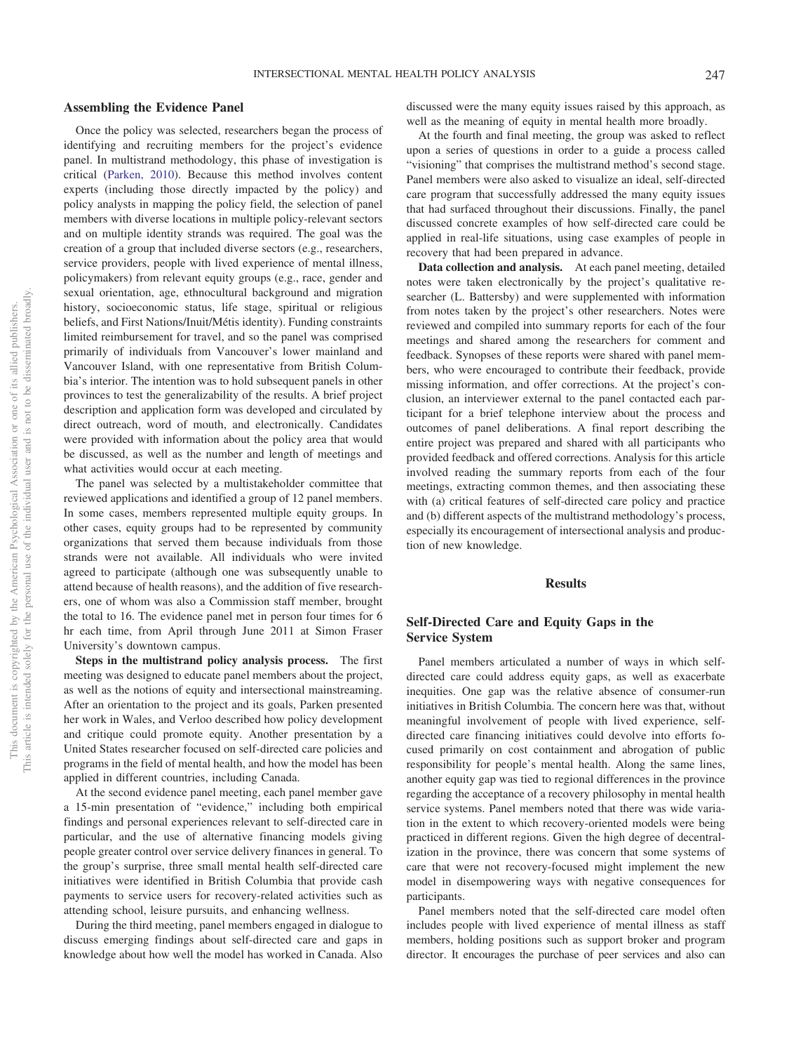#### INTERSECTIONAL MENTAL HEALTH POLICY ANALYSIS 247

#### **Assembling the Evidence Panel**

Once the policy was selected, researchers began the process of identifying and recruiting members for the project's evidence panel. In multistrand methodology, this phase of investigation is critical [\(Parken, 2010\)](#page-7-10). Because this method involves content experts (including those directly impacted by the policy) and policy analysts in mapping the policy field, the selection of panel members with diverse locations in multiple policy-relevant sectors and on multiple identity strands was required. The goal was the creation of a group that included diverse sectors (e.g., researchers, service providers, people with lived experience of mental illness, policymakers) from relevant equity groups (e.g., race, gender and sexual orientation, age, ethnocultural background and migration history, socioeconomic status, life stage, spiritual or religious beliefs, and First Nations/Inuit/Métis identity). Funding constraints limited reimbursement for travel, and so the panel was comprised primarily of individuals from Vancouver's lower mainland and Vancouver Island, with one representative from British Columbia's interior. The intention was to hold subsequent panels in other provinces to test the generalizability of the results. A brief project description and application form was developed and circulated by direct outreach, word of mouth, and electronically. Candidates were provided with information about the policy area that would be discussed, as well as the number and length of meetings and what activities would occur at each meeting.

The panel was selected by a multistakeholder committee that reviewed applications and identified a group of 12 panel members. In some cases, members represented multiple equity groups. In other cases, equity groups had to be represented by community organizations that served them because individuals from those strands were not available. All individuals who were invited agreed to participate (although one was subsequently unable to attend because of health reasons), and the addition of five researchers, one of whom was also a Commission staff member, brought the total to 16. The evidence panel met in person four times for 6 hr each time, from April through June 2011 at Simon Fraser University's downtown campus.

**Steps in the multistrand policy analysis process.** The first meeting was designed to educate panel members about the project, as well as the notions of equity and intersectional mainstreaming. After an orientation to the project and its goals, Parken presented her work in Wales, and Verloo described how policy development and critique could promote equity. Another presentation by a United States researcher focused on self-directed care policies and programs in the field of mental health, and how the model has been applied in different countries, including Canada.

At the second evidence panel meeting, each panel member gave a 15-min presentation of "evidence," including both empirical findings and personal experiences relevant to self-directed care in particular, and the use of alternative financing models giving people greater control over service delivery finances in general. To the group's surprise, three small mental health self-directed care initiatives were identified in British Columbia that provide cash payments to service users for recovery-related activities such as attending school, leisure pursuits, and enhancing wellness.

During the third meeting, panel members engaged in dialogue to discuss emerging findings about self-directed care and gaps in knowledge about how well the model has worked in Canada. Also

discussed were the many equity issues raised by this approach, as well as the meaning of equity in mental health more broadly.

At the fourth and final meeting, the group was asked to reflect upon a series of questions in order to a guide a process called "visioning" that comprises the multistrand method's second stage. Panel members were also asked to visualize an ideal, self-directed care program that successfully addressed the many equity issues that had surfaced throughout their discussions. Finally, the panel discussed concrete examples of how self-directed care could be applied in real-life situations, using case examples of people in recovery that had been prepared in advance.

**Data collection and analysis.** At each panel meeting, detailed notes were taken electronically by the project's qualitative researcher (L. Battersby) and were supplemented with information from notes taken by the project's other researchers. Notes were reviewed and compiled into summary reports for each of the four meetings and shared among the researchers for comment and feedback. Synopses of these reports were shared with panel members, who were encouraged to contribute their feedback, provide missing information, and offer corrections. At the project's conclusion, an interviewer external to the panel contacted each participant for a brief telephone interview about the process and outcomes of panel deliberations. A final report describing the entire project was prepared and shared with all participants who provided feedback and offered corrections. Analysis for this article involved reading the summary reports from each of the four meetings, extracting common themes, and then associating these with (a) critical features of self-directed care policy and practice and (b) different aspects of the multistrand methodology's process, especially its encouragement of intersectional analysis and production of new knowledge.

## **Results**

# **Self-Directed Care and Equity Gaps in the Service System**

Panel members articulated a number of ways in which selfdirected care could address equity gaps, as well as exacerbate inequities. One gap was the relative absence of consumer-run initiatives in British Columbia. The concern here was that, without meaningful involvement of people with lived experience, selfdirected care financing initiatives could devolve into efforts focused primarily on cost containment and abrogation of public responsibility for people's mental health. Along the same lines, another equity gap was tied to regional differences in the province regarding the acceptance of a recovery philosophy in mental health service systems. Panel members noted that there was wide variation in the extent to which recovery-oriented models were being practiced in different regions. Given the high degree of decentralization in the province, there was concern that some systems of care that were not recovery-focused might implement the new model in disempowering ways with negative consequences for participants.

Panel members noted that the self-directed care model often includes people with lived experience of mental illness as staff members, holding positions such as support broker and program director. It encourages the purchase of peer services and also can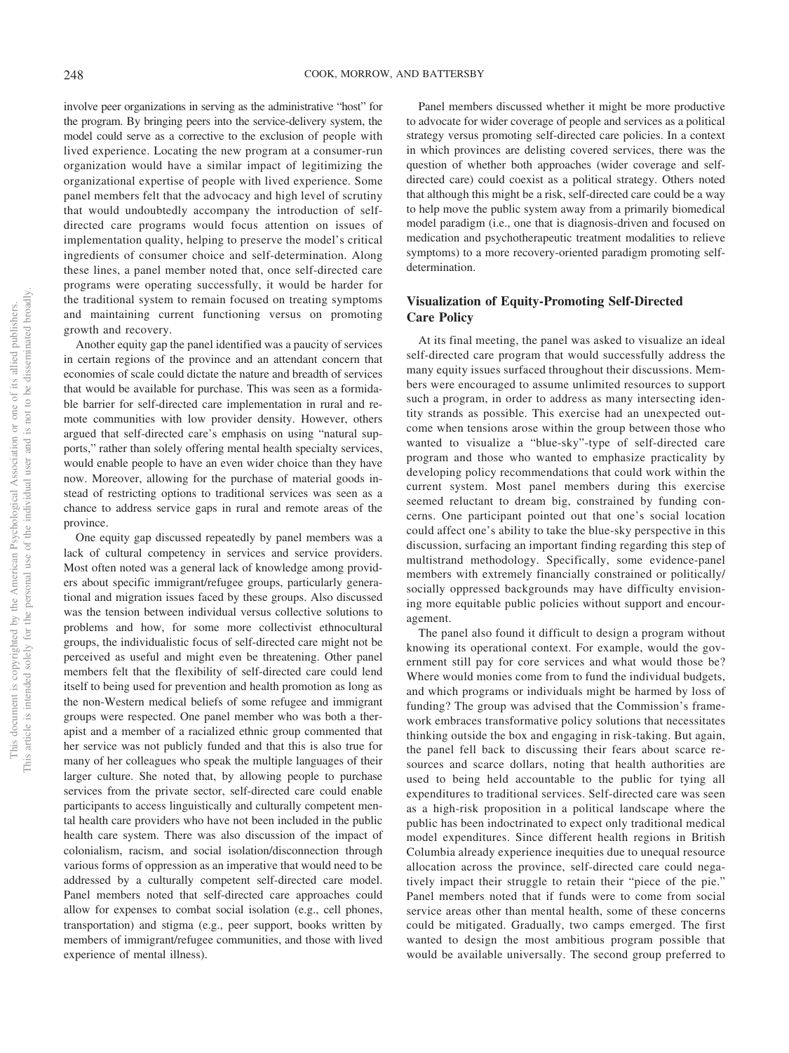$\rm \overline{o}$ Š.

This document is copyrighted by the American Psychological Association This article is intended solely for the personal use of the individual user and involve peer organizations in serving as the administrative "host" for the program. By bringing peers into the service-delivery system, the model could serve as a corrective to the exclusion of people with lived experience. Locating the new program at a consumer-run organization would have a similar impact of legitimizing the organizational expertise of people with lived experience. Some panel members felt that the advocacy and high level of scrutiny that would undoubtedly accompany the introduction of selfdirected care programs would focus attention on issues of implementation quality, helping to preserve the model's critical ingredients of consumer choice and self-determination. Along these lines, a panel member noted that, once self-directed care programs were operating successfully, it would be harder for the traditional system to remain focused on treating symptoms and maintaining current functioning versus on promoting growth and recovery.

Another equity gap the panel identified was a paucity of services in certain regions of the province and an attendant concern that economies of scale could dictate the nature and breadth of services that would be available for purchase. This was seen as a formidable barrier for self-directed care implementation in rural and remote communities with low provider density. However, others argued that self-directed care's emphasis on using "natural supports," rather than solely offering mental health specialty services, would enable people to have an even wider choice than they have now. Moreover, allowing for the purchase of material goods instead of restricting options to traditional services was seen as a chance to address service gaps in rural and remote areas of the province.

One equity gap discussed repeatedly by panel members was a lack of cultural competency in services and service providers. Most often noted was a general lack of knowledge among providers about specific immigrant/refugee groups, particularly generational and migration issues faced by these groups. Also discussed was the tension between individual versus collective solutions to problems and how, for some more collectivist ethnocultural groups, the individualistic focus of self-directed care might not be perceived as useful and might even be threatening. Other panel members felt that the flexibility of self-directed care could lend itself to being used for prevention and health promotion as long as the non-Western medical beliefs of some refugee and immigrant groups were respected. One panel member who was both a therapist and a member of a racialized ethnic group commented that her service was not publicly funded and that this is also true for many of her colleagues who speak the multiple languages of their larger culture. She noted that, by allowing people to purchase services from the private sector, self-directed care could enable participants to access linguistically and culturally competent mental health care providers who have not been included in the public health care system. There was also discussion of the impact of colonialism, racism, and social isolation/disconnection through various forms of oppression as an imperative that would need to be addressed by a culturally competent self-directed care model. Panel members noted that self-directed care approaches could allow for expenses to combat social isolation (e.g., cell phones, transportation) and stigma (e.g., peer support, books written by members of immigrant/refugee communities, and those with lived experience of mental illness).

Panel members discussed whether it might be more productive to advocate for wider coverage of people and services as a political strategy versus promoting self-directed care policies. In a context in which provinces are delisting covered services, there was the question of whether both approaches (wider coverage and selfdirected care) could coexist as a political strategy. Others noted that although this might be a risk, self-directed care could be a way to help move the public system away from a primarily biomedical model paradigm (i.e., one that is diagnosis-driven and focused on medication and psychotherapeutic treatment modalities to relieve symptoms) to a more recovery-oriented paradigm promoting selfdetermination.

# **Visualization of Equity-Promoting Self-Directed Care Policy**

At its final meeting, the panel was asked to visualize an ideal self-directed care program that would successfully address the many equity issues surfaced throughout their discussions. Members were encouraged to assume unlimited resources to support such a program, in order to address as many intersecting identity strands as possible. This exercise had an unexpected outcome when tensions arose within the group between those who wanted to visualize a "blue-sky"-type of self-directed care program and those who wanted to emphasize practicality by developing policy recommendations that could work within the current system. Most panel members during this exercise seemed reluctant to dream big, constrained by funding concerns. One participant pointed out that one's social location could affect one's ability to take the blue-sky perspective in this discussion, surfacing an important finding regarding this step of multistrand methodology. Specifically, some evidence-panel members with extremely financially constrained or politically/ socially oppressed backgrounds may have difficulty envisioning more equitable public policies without support and encouragement.

The panel also found it difficult to design a program without knowing its operational context. For example, would the government still pay for core services and what would those be? Where would monies come from to fund the individual budgets, and which programs or individuals might be harmed by loss of funding? The group was advised that the Commission's framework embraces transformative policy solutions that necessitates thinking outside the box and engaging in risk-taking. But again, the panel fell back to discussing their fears about scarce resources and scarce dollars, noting that health authorities are used to being held accountable to the public for tying all expenditures to traditional services. Self-directed care was seen as a high-risk proposition in a political landscape where the public has been indoctrinated to expect only traditional medical model expenditures. Since different health regions in British Columbia already experience inequities due to unequal resource allocation across the province, self-directed care could negatively impact their struggle to retain their "piece of the pie." Panel members noted that if funds were to come from social service areas other than mental health, some of these concerns could be mitigated. Gradually, two camps emerged. The first wanted to design the most ambitious program possible that would be available universally. The second group preferred to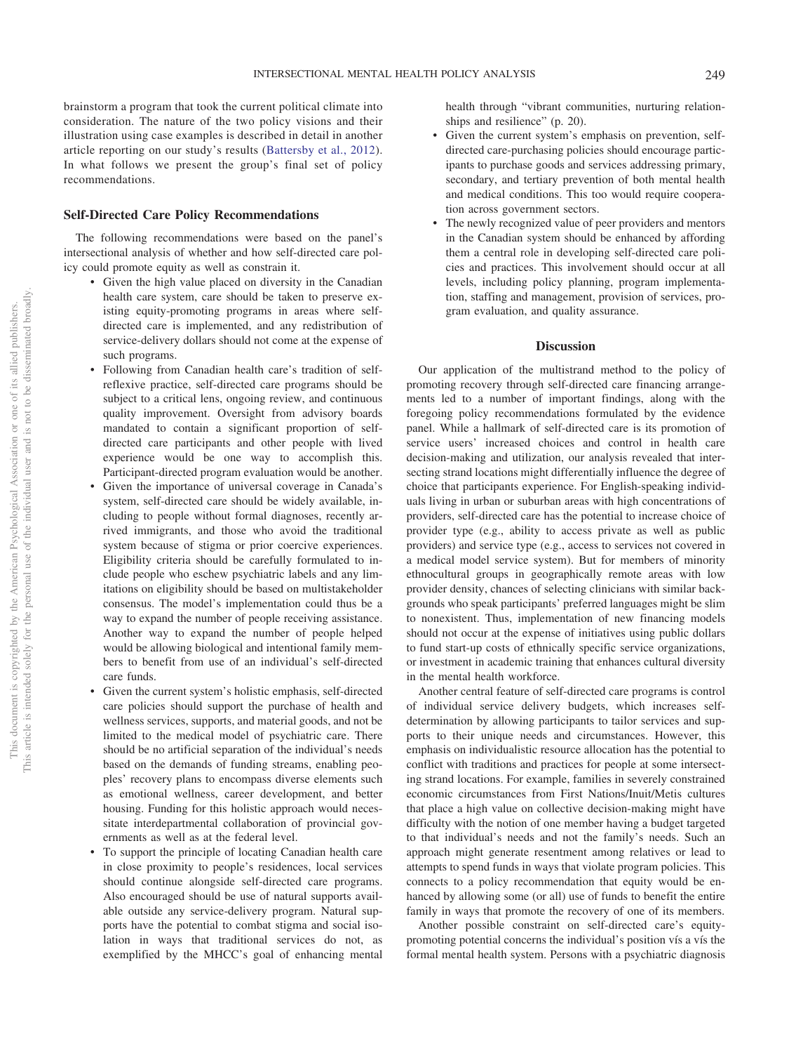brainstorm a program that took the current political climate into consideration. The nature of the two policy visions and their illustration using case examples is described in detail in another article reporting on our study's results [\(Battersby et al., 2012\)](#page-6-2). In what follows we present the group's final set of policy recommendations.

#### **Self-Directed Care Policy Recommendations**

The following recommendations were based on the panel's intersectional analysis of whether and how self-directed care policy could promote equity as well as constrain it.

- Given the high value placed on diversity in the Canadian health care system, care should be taken to preserve existing equity-promoting programs in areas where selfdirected care is implemented, and any redistribution of service-delivery dollars should not come at the expense of such programs.
- Following from Canadian health care's tradition of selfreflexive practice, self-directed care programs should be subject to a critical lens, ongoing review, and continuous quality improvement. Oversight from advisory boards mandated to contain a significant proportion of selfdirected care participants and other people with lived experience would be one way to accomplish this. Participant-directed program evaluation would be another.
- Given the importance of universal coverage in Canada's system, self-directed care should be widely available, including to people without formal diagnoses, recently arrived immigrants, and those who avoid the traditional system because of stigma or prior coercive experiences. Eligibility criteria should be carefully formulated to include people who eschew psychiatric labels and any limitations on eligibility should be based on multistakeholder consensus. The model's implementation could thus be a way to expand the number of people receiving assistance. Another way to expand the number of people helped would be allowing biological and intentional family members to benefit from use of an individual's self-directed care funds.
- Given the current system's holistic emphasis, self-directed care policies should support the purchase of health and wellness services, supports, and material goods, and not be limited to the medical model of psychiatric care. There should be no artificial separation of the individual's needs based on the demands of funding streams, enabling peoples' recovery plans to encompass diverse elements such as emotional wellness, career development, and better housing. Funding for this holistic approach would necessitate interdepartmental collaboration of provincial governments as well as at the federal level.
- To support the principle of locating Canadian health care in close proximity to people's residences, local services should continue alongside self-directed care programs. Also encouraged should be use of natural supports available outside any service-delivery program. Natural supports have the potential to combat stigma and social isolation in ways that traditional services do not, as exemplified by the MHCC's goal of enhancing mental

health through "vibrant communities, nurturing relationships and resilience" (p. 20).

- Given the current system's emphasis on prevention, selfdirected care-purchasing policies should encourage participants to purchase goods and services addressing primary, secondary, and tertiary prevention of both mental health and medical conditions. This too would require cooperation across government sectors.
- The newly recognized value of peer providers and mentors in the Canadian system should be enhanced by affording them a central role in developing self-directed care policies and practices. This involvement should occur at all levels, including policy planning, program implementation, staffing and management, provision of services, program evaluation, and quality assurance.

# **Discussion**

Our application of the multistrand method to the policy of promoting recovery through self-directed care financing arrangements led to a number of important findings, along with the foregoing policy recommendations formulated by the evidence panel. While a hallmark of self-directed care is its promotion of service users' increased choices and control in health care decision-making and utilization, our analysis revealed that intersecting strand locations might differentially influence the degree of choice that participants experience. For English-speaking individuals living in urban or suburban areas with high concentrations of providers, self-directed care has the potential to increase choice of provider type (e.g., ability to access private as well as public providers) and service type (e.g., access to services not covered in a medical model service system). But for members of minority ethnocultural groups in geographically remote areas with low provider density, chances of selecting clinicians with similar backgrounds who speak participants' preferred languages might be slim to nonexistent. Thus, implementation of new financing models should not occur at the expense of initiatives using public dollars to fund start-up costs of ethnically specific service organizations, or investment in academic training that enhances cultural diversity in the mental health workforce.

Another central feature of self-directed care programs is control of individual service delivery budgets, which increases selfdetermination by allowing participants to tailor services and supports to their unique needs and circumstances. However, this emphasis on individualistic resource allocation has the potential to conflict with traditions and practices for people at some intersecting strand locations. For example, families in severely constrained economic circumstances from First Nations/Inuit/Metis cultures that place a high value on collective decision-making might have difficulty with the notion of one member having a budget targeted to that individual's needs and not the family's needs. Such an approach might generate resentment among relatives or lead to attempts to spend funds in ways that violate program policies. This connects to a policy recommendation that equity would be enhanced by allowing some (or all) use of funds to benefit the entire family in ways that promote the recovery of one of its members.

Another possible constraint on self-directed care's equitypromoting potential concerns the individual's position vís a vís the formal mental health system. Persons with a psychiatric diagnosis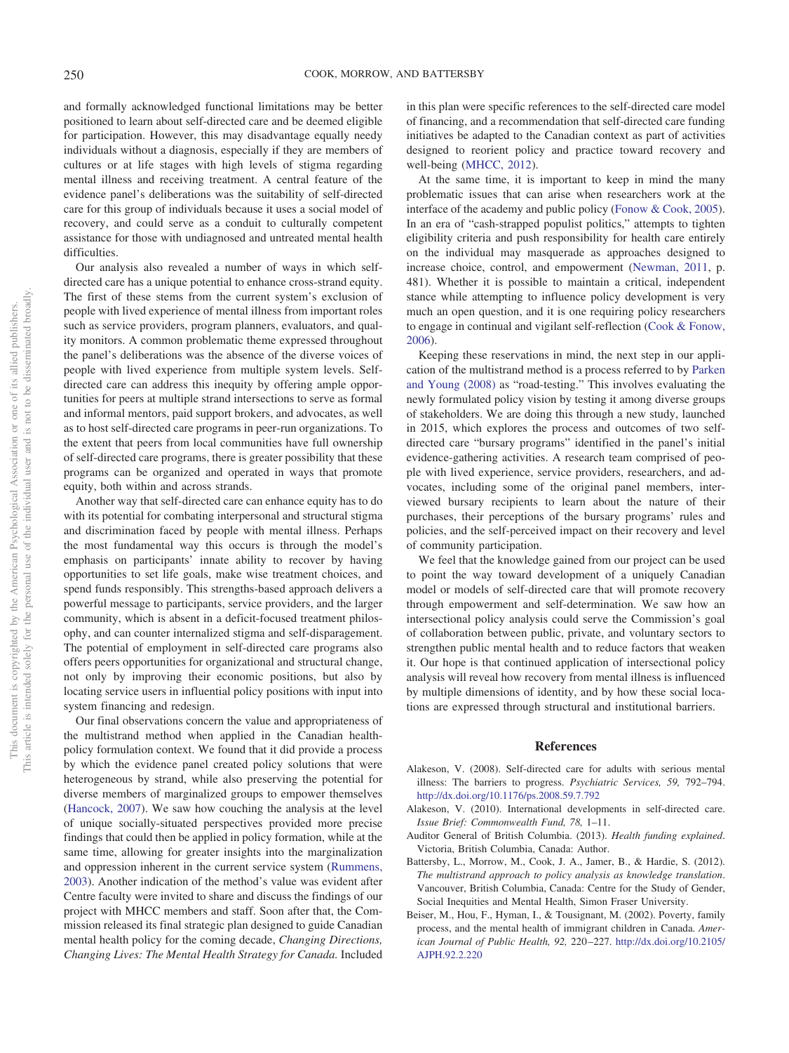and formally acknowledged functional limitations may be better positioned to learn about self-directed care and be deemed eligible for participation. However, this may disadvantage equally needy individuals without a diagnosis, especially if they are members of cultures or at life stages with high levels of stigma regarding mental illness and receiving treatment. A central feature of the evidence panel's deliberations was the suitability of self-directed care for this group of individuals because it uses a social model of recovery, and could serve as a conduit to culturally competent assistance for those with undiagnosed and untreated mental health difficulties.

Our analysis also revealed a number of ways in which selfdirected care has a unique potential to enhance cross-strand equity. The first of these stems from the current system's exclusion of people with lived experience of mental illness from important roles such as service providers, program planners, evaluators, and quality monitors. A common problematic theme expressed throughout the panel's deliberations was the absence of the diverse voices of people with lived experience from multiple system levels. Selfdirected care can address this inequity by offering ample opportunities for peers at multiple strand intersections to serve as formal and informal mentors, paid support brokers, and advocates, as well as to host self-directed care programs in peer-run organizations. To the extent that peers from local communities have full ownership of self-directed care programs, there is greater possibility that these programs can be organized and operated in ways that promote equity, both within and across strands.

Another way that self-directed care can enhance equity has to do with its potential for combating interpersonal and structural stigma and discrimination faced by people with mental illness. Perhaps the most fundamental way this occurs is through the model's emphasis on participants' innate ability to recover by having opportunities to set life goals, make wise treatment choices, and spend funds responsibly. This strengths-based approach delivers a powerful message to participants, service providers, and the larger community, which is absent in a deficit-focused treatment philosophy, and can counter internalized stigma and self-disparagement. The potential of employment in self-directed care programs also offers peers opportunities for organizational and structural change, not only by improving their economic positions, but also by locating service users in influential policy positions with input into system financing and redesign.

Our final observations concern the value and appropriateness of the multistrand method when applied in the Canadian healthpolicy formulation context. We found that it did provide a process by which the evidence panel created policy solutions that were heterogeneous by strand, while also preserving the potential for diverse members of marginalized groups to empower themselves [\(Hancock, 2007\)](#page-7-1). We saw how couching the analysis at the level of unique socially-situated perspectives provided more precise findings that could then be applied in policy formation, while at the same time, allowing for greater insights into the marginalization and oppression inherent in the current service system [\(Rummens,](#page-7-9) [2003\)](#page-7-9). Another indication of the method's value was evident after Centre faculty were invited to share and discuss the findings of our project with MHCC members and staff. Soon after that, the Commission released its final strategic plan designed to guide Canadian mental health policy for the coming decade, *Changing Directions, Changing Lives: The Mental Health Strategy for Canada.* Included in this plan were specific references to the self-directed care model of financing, and a recommendation that self-directed care funding initiatives be adapted to the Canadian context as part of activities designed to reorient policy and practice toward recovery and well-being [\(MHCC, 2012\)](#page-7-23).

At the same time, it is important to keep in mind the many problematic issues that can arise when researchers work at the interface of the academy and public policy [\(Fonow & Cook, 2005\)](#page-7-24). In an era of "cash-strapped populist politics," attempts to tighten eligibility criteria and push responsibility for health care entirely on the individual may masquerade as approaches designed to increase choice, control, and empowerment [\(Newman, 2011,](#page-7-25) p. 481). Whether it is possible to maintain a critical, independent stance while attempting to influence policy development is very much an open question, and it is one requiring policy researchers to engage in continual and vigilant self-reflection [\(Cook & Fonow,](#page-7-26) [2006\)](#page-7-26).

Keeping these reservations in mind, the next step in our application of the multistrand method is a process referred to by [Parken](#page-7-11) [and Young \(2008\)](#page-7-11) as "road-testing." This involves evaluating the newly formulated policy vision by testing it among diverse groups of stakeholders. We are doing this through a new study, launched in 2015, which explores the process and outcomes of two selfdirected care "bursary programs" identified in the panel's initial evidence-gathering activities. A research team comprised of people with lived experience, service providers, researchers, and advocates, including some of the original panel members, interviewed bursary recipients to learn about the nature of their purchases, their perceptions of the bursary programs' rules and policies, and the self-perceived impact on their recovery and level of community participation.

We feel that the knowledge gained from our project can be used to point the way toward development of a uniquely Canadian model or models of self-directed care that will promote recovery through empowerment and self-determination. We saw how an intersectional policy analysis could serve the Commission's goal of collaboration between public, private, and voluntary sectors to strengthen public mental health and to reduce factors that weaken it. Our hope is that continued application of intersectional policy analysis will reveal how recovery from mental illness is influenced by multiple dimensions of identity, and by how these social locations are expressed through structural and institutional barriers.

#### **References**

- <span id="page-6-3"></span>Alakeson, V. (2008). Self-directed care for adults with serious mental illness: The barriers to progress. *Psychiatric Services, 59,* 792–794. <http://dx.doi.org/10.1176/ps.2008.59.7.792>
- <span id="page-6-4"></span>Alakeson, V. (2010). International developments in self-directed care. *Issue Brief: Commonwealth Fund, 78,* 1–11.
- <span id="page-6-1"></span>Auditor General of British Columbia. (2013). *Health funding explained*. Victoria, British Columbia, Canada: Author.
- <span id="page-6-2"></span>Battersby, L., Morrow, M., Cook, J. A., Jamer, B., & Hardie, S. (2012). *The multistrand approach to policy analysis as knowledge translation*. Vancouver, British Columbia, Canada: Centre for the Study of Gender, Social Inequities and Mental Health, Simon Fraser University.
- <span id="page-6-0"></span>Beiser, M., Hou, F., Hyman, I., & Tousignant, M. (2002). Poverty, family process, and the mental health of immigrant children in Canada. *American Journal of Public Health, 92,* 220 –227. [http://dx.doi.org/10.2105/](http://dx.doi.org/10.2105/AJPH.92.2.220) [AJPH.92.2.220](http://dx.doi.org/10.2105/AJPH.92.2.220)